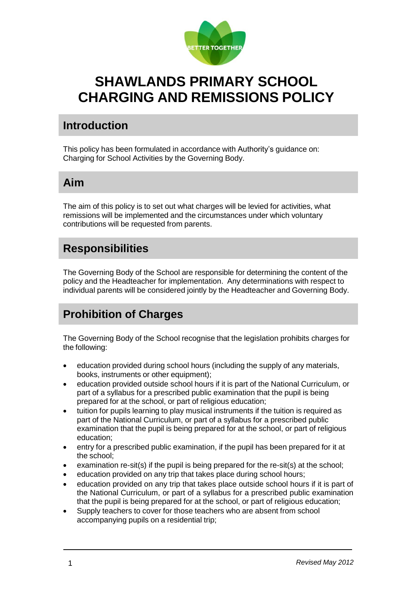

# **SHAWLANDS PRIMARY SCHOOL CHARGING AND REMISSIONS POLICY**

### **Introduction**

This policy has been formulated in accordance with Authority's guidance on: Charging for School Activities by the Governing Body.

### **Aim**

The aim of this policy is to set out what charges will be levied for activities, what remissions will be implemented and the circumstances under which voluntary contributions will be requested from parents.

### **Responsibilities**

The Governing Body of the School are responsible for determining the content of the policy and the Headteacher for implementation. Any determinations with respect to individual parents will be considered jointly by the Headteacher and Governing Body.

# **Prohibition of Charges**

The Governing Body of the School recognise that the legislation prohibits charges for the following:

- education provided during school hours (including the supply of any materials, books, instruments or other equipment);
- education provided outside school hours if it is part of the National Curriculum, or part of a syllabus for a prescribed public examination that the pupil is being prepared for at the school, or part of religious education;
- tuition for pupils learning to play musical instruments if the tuition is required as part of the National Curriculum, or part of a syllabus for a prescribed public examination that the pupil is being prepared for at the school, or part of religious education;
- entry for a prescribed public examination, if the pupil has been prepared for it at the school;
- examination re-sit(s) if the pupil is being prepared for the re-sit(s) at the school;
- education provided on any trip that takes place during school hours;
- education provided on any trip that takes place outside school hours if it is part of the National Curriculum, or part of a syllabus for a prescribed public examination that the pupil is being prepared for at the school, or part of religious education;
- Supply teachers to cover for those teachers who are absent from school accompanying pupils on a residential trip;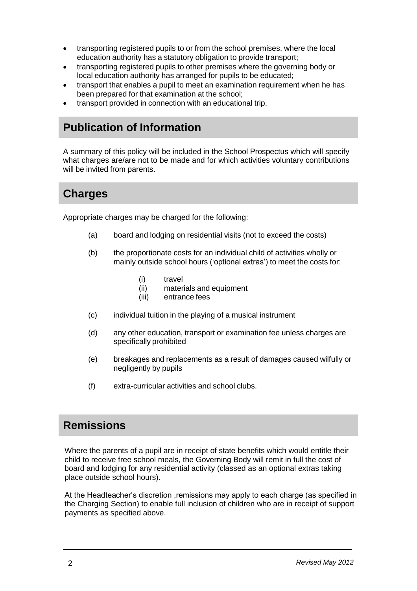- transporting registered pupils to or from the school premises, where the local education authority has a statutory obligation to provide transport;
- transporting registered pupils to other premises where the governing body or local education authority has arranged for pupils to be educated;
- transport that enables a pupil to meet an examination requirement when he has been prepared for that examination at the school;
- transport provided in connection with an educational trip.

## **Publication of Information**

A summary of this policy will be included in the School Prospectus which will specify what charges are/are not to be made and for which activities voluntary contributions will be invited from parents.

### **Charges**

Appropriate charges may be charged for the following:

- (a) board and lodging on residential visits (not to exceed the costs)
- (b) the proportionate costs for an individual child of activities wholly or mainly outside school hours ('optional extras') to meet the costs for:
	- (i) travel
	- (ii) materials and equipment
	- (iii) entrance fees
- (c) individual tuition in the playing of a musical instrument
- (d) any other education, transport or examination fee unless charges are specifically prohibited
- (e) breakages and replacements as a result of damages caused wilfully or negligently by pupils
- (f) extra-curricular activities and school clubs.

### **Remissions**

Where the parents of a pupil are in receipt of state benefits which would entitle their child to receive free school meals, the Governing Body will remit in full the cost of board and lodging for any residential activity (classed as an optional extras taking place outside school hours).

At the Headteacher's discretion ,remissions may apply to each charge (as specified in the Charging Section) to enable full inclusion of children who are in receipt of support payments as specified above.